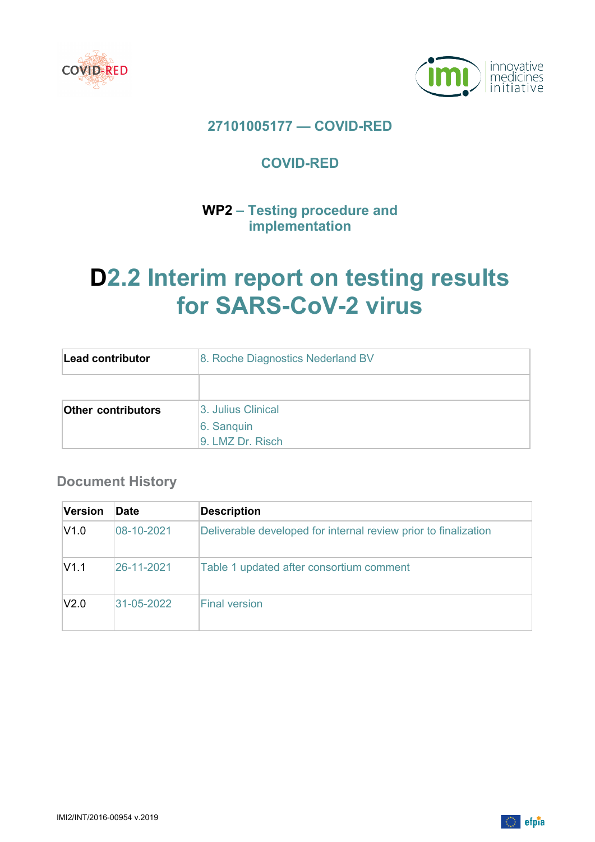



## **27101005177 — COVID-RED**

## **COVID-RED**

## **WP2 – Testing procedure and implementation**

# **D2.2 Interim report on testing results for SARS-CoV-2 virus**

| Lead contributor          | 8. Roche Diagnostics Nederland BV |  |  |  |  |  |
|---------------------------|-----------------------------------|--|--|--|--|--|
|                           |                                   |  |  |  |  |  |
| <b>Other contributors</b> | 3. Julius Clinical                |  |  |  |  |  |
|                           | 6. Sanguin                        |  |  |  |  |  |
|                           | 9. LMZ Dr. Risch                  |  |  |  |  |  |

## **Document History**

| Version | <b>Date</b> | <b>Description</b>                                              |
|---------|-------------|-----------------------------------------------------------------|
| V1.0    | 08-10-2021  | Deliverable developed for internal review prior to finalization |
| V1.1    | 26-11-2021  | Table 1 updated after consortium comment                        |
| V2.0    | 31-05-2022  | <b>Final version</b>                                            |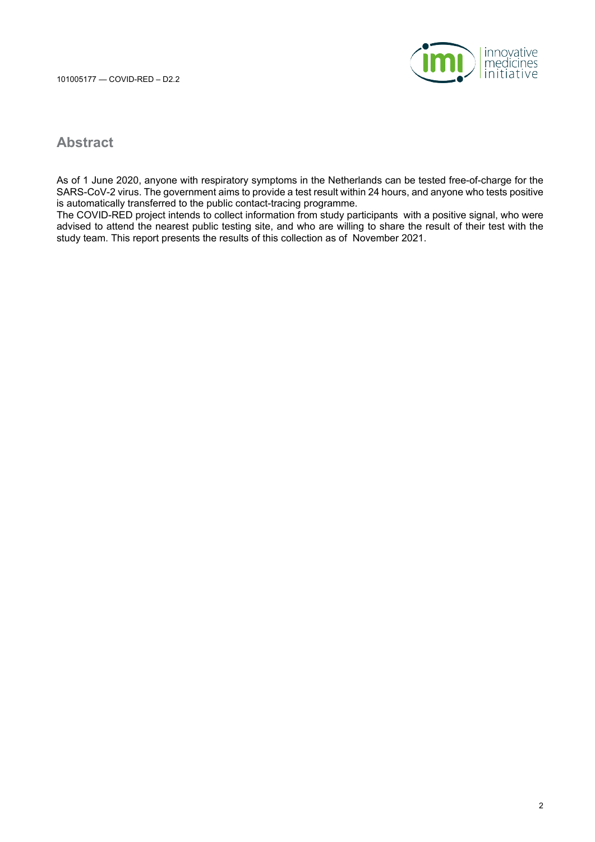

### **Abstract**

As of 1 June 2020, anyone with respiratory symptoms in the Netherlands can be tested free-of-charge for the SARS-CoV-2 virus. The government aims to provide a test result within 24 hours, and anyone who tests positive is automatically transferred to the public contact-tracing programme.

The COVID-RED project intends to collect information from study participants with a positive signal, who were advised to attend the nearest public testing site, and who are willing to share the result of their test with the study team. This report presents the results of this collection as of November 2021.